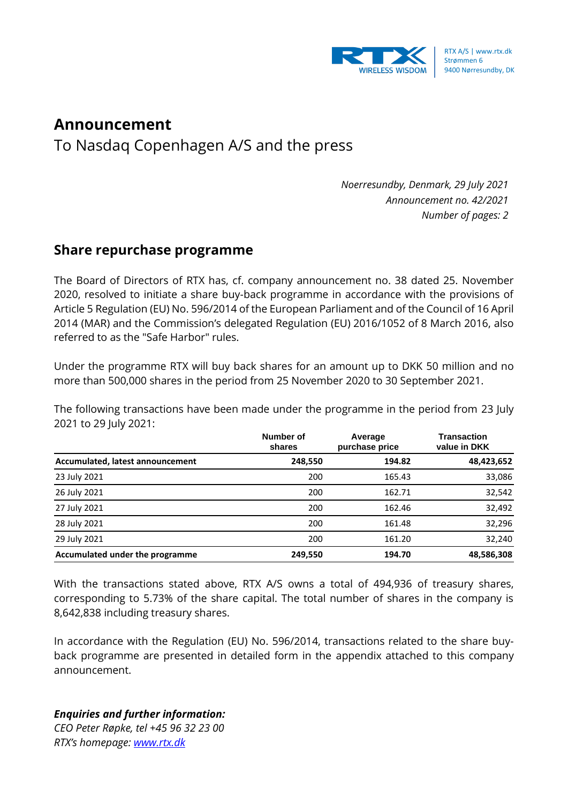

## **Announcement**

To Nasdaq Copenhagen A/S and the press

*Noerresundby, Denmark, 29 July 2021 Announcement no. 42/2021 Number of pages: 2*

## **Share repurchase programme**

The Board of Directors of RTX has, cf. company announcement no. 38 dated 25. November 2020, resolved to initiate a share buy-back programme in accordance with the provisions of Article 5 Regulation (EU) No. 596/2014 of the European Parliament and of the Council of 16 April 2014 (MAR) and the Commission's delegated Regulation (EU) 2016/1052 of 8 March 2016, also referred to as the "Safe Harbor" rules.

Under the programme RTX will buy back shares for an amount up to DKK 50 million and no more than 500,000 shares in the period from 25 November 2020 to 30 September 2021.

The following transactions have been made under the programme in the period from 23 July 2021 to 29 July 2021:

|                                  | Number of<br>shares | Average<br>purchase price | <b>Transaction</b><br>value in DKK |
|----------------------------------|---------------------|---------------------------|------------------------------------|
| Accumulated, latest announcement | 248,550             | 194.82                    | 48,423,652                         |
| 23 July 2021                     | 200                 | 165.43                    | 33,086                             |
| 26 July 2021                     | 200                 | 162.71                    | 32,542                             |
| 27 July 2021                     | 200                 | 162.46                    | 32,492                             |
| 28 July 2021                     | 200                 | 161.48                    | 32,296                             |
| 29 July 2021                     | 200                 | 161.20                    | 32,240                             |
| Accumulated under the programme  | 249,550             | 194.70                    | 48,586,308                         |

With the transactions stated above, RTX A/S owns a total of 494,936 of treasury shares, corresponding to 5.73% of the share capital. The total number of shares in the company is 8,642,838 including treasury shares.

In accordance with the Regulation (EU) No. 596/2014, transactions related to the share buyback programme are presented in detailed form in the appendix attached to this company announcement.

## *Enquiries and further information:*

*CEO Peter Røpke, tel +45 96 32 23 00 RTX's homepage: [www.rtx.dk](http://www.rtx.dk/)*